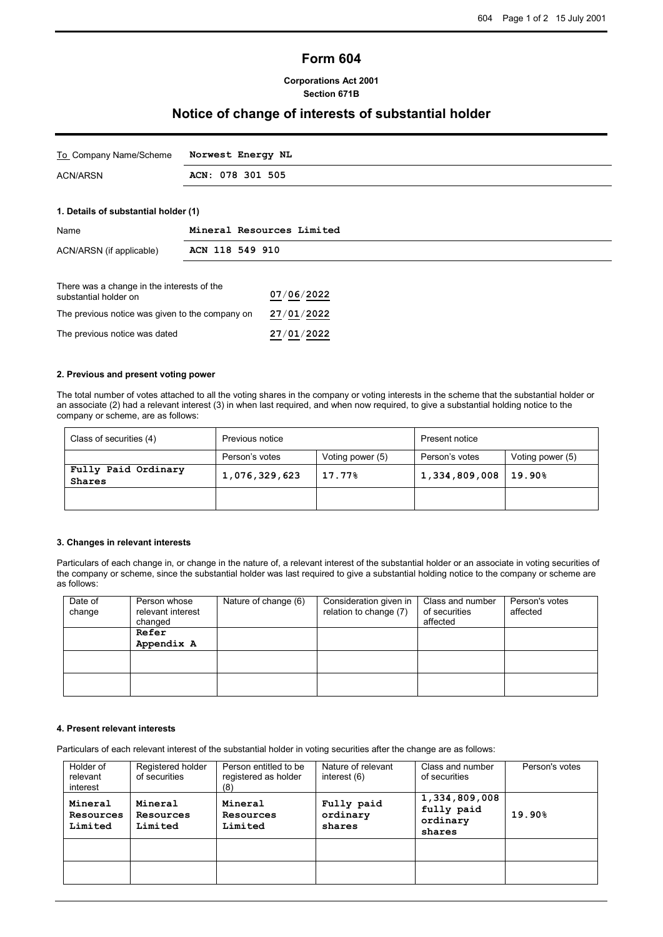## **Form 604**

### **Corporations Act 2001 Section 671B**

## **Notice of change of interests of substantial holder**

| To Company Name/Scheme Norwest Energy NL |                  |
|------------------------------------------|------------------|
| ACN/ARSN                                 | ACN: 078 301 505 |

### **1. Details of substantial holder (1)**

| Name                                       | Mineral Resources Limited |
|--------------------------------------------|---------------------------|
| ACN/ARSN (if applicable)                   | ACN 118 549 910           |
| There was a change in the interests of the | 07/06/2022                |
| substantial holder on                      | -- - - - - - - - -        |

The previous notice was given to the company on **27**/**01**/**2022** The previous notice was dated **27**/**01**/**2022**

#### **2. Previous and present voting power**

The total number of votes attached to all the voting shares in the company or voting interests in the scheme that the substantial holder or an associate (2) had a relevant interest (3) in when last required, and when now required, to give a substantial holding notice to the company or scheme, are as follows:

| Class of securities (4)              | Previous notice                    |  | Present notice |                  |  |
|--------------------------------------|------------------------------------|--|----------------|------------------|--|
|                                      | Person's votes<br>Voting power (5) |  | Person's votes | Voting power (5) |  |
| Fully Paid Ordinary<br><b>Shares</b> | 1,076,329,623<br>17.77%            |  | 1,334,809,008  | 19.90%           |  |
|                                      |                                    |  |                |                  |  |

#### **3. Changes in relevant interests**

Particulars of each change in, or change in the nature of, a relevant interest of the substantial holder or an associate in voting securities of the company or scheme, since the substantial holder was last required to give a substantial holding notice to the company or scheme are as follows:

| Date of<br>change | Person whose<br>relevant interest<br>changed | Nature of change (6) | Consideration given in<br>relation to change (7) | Class and number<br>of securities<br>affected | Person's votes<br>affected |
|-------------------|----------------------------------------------|----------------------|--------------------------------------------------|-----------------------------------------------|----------------------------|
|                   | Refer<br>Appendix A                          |                      |                                                  |                                               |                            |
|                   |                                              |                      |                                                  |                                               |                            |
|                   |                                              |                      |                                                  |                                               |                            |

## **4. Present relevant interests**

Particulars of each relevant interest of the substantial holder in voting securities after the change are as follows:

| Holder of<br>relevant<br>interest | Registered holder<br>of securities | Person entitled to be<br>registered as holder<br>(8) | Nature of relevant<br>interest $(6)$ | Class and number<br>of securities                 | Person's votes |
|-----------------------------------|------------------------------------|------------------------------------------------------|--------------------------------------|---------------------------------------------------|----------------|
| Mineral<br>Resources<br>Limited   | Mineral<br>Resources<br>Limited    | Mineral<br>Resources<br>Limited                      | Fully paid<br>ordinary<br>shares     | 1,334,809,008<br>fully paid<br>ordinary<br>shares | 19.90%         |
|                                   |                                    |                                                      |                                      |                                                   |                |
|                                   |                                    |                                                      |                                      |                                                   |                |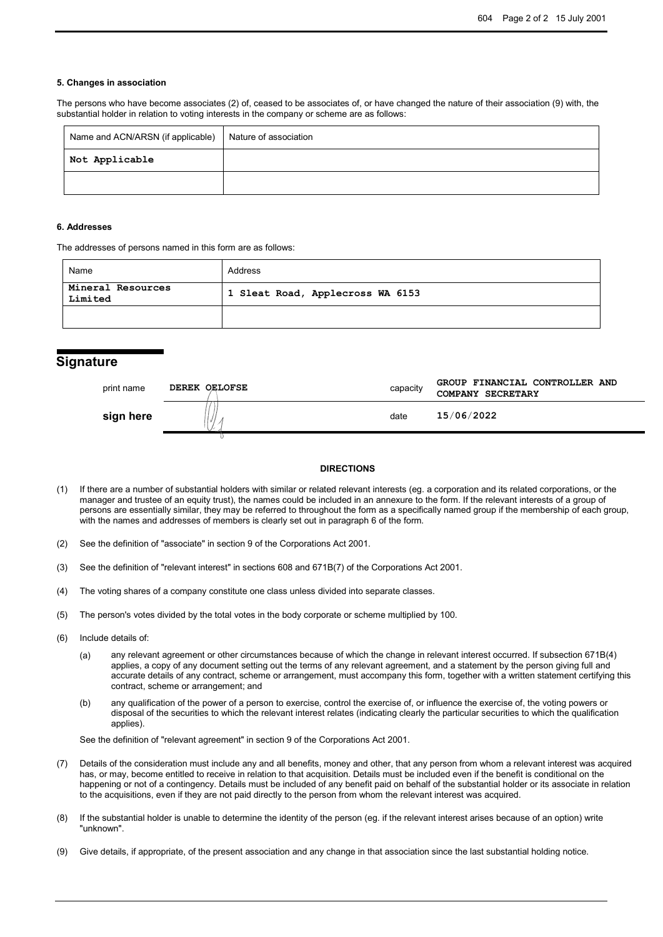#### **5. Changes in association**

The persons who have become associates (2) of, ceased to be associates of, or have changed the nature of their association (9) with, the substantial holder in relation to voting interests in the company or scheme are as follows:

| Name and ACN/ARSN (if applicable) | Nature of association |
|-----------------------------------|-----------------------|
| Not Applicable                    |                       |
|                                   |                       |

#### **6. Addresses**

The addresses of persons named in this form are as follows:

| Name                         | Address                          |
|------------------------------|----------------------------------|
| Mineral Resources<br>Limited | 1 Sleat Road, Applecross WA 6153 |
|                              |                                  |

## **Signature**

| print name | <b>DEREK OELOFSE</b> | capacity | GROUP FINANCIAL CONTROLLER AND<br>COMPANY SECRETARY |
|------------|----------------------|----------|-----------------------------------------------------|
| sign here  |                      | date     | 15/06/2022                                          |
|            |                      |          |                                                     |

#### **DIRECTIONS**

- (1) If there are a number of substantial holders with similar or related relevant interests (eg. a corporation and its related corporations, or the manager and trustee of an equity trust), the names could be included in an annexure to the form. If the relevant interests of a group of persons are essentially similar, they may be referred to throughout the form as a specifically named group if the membership of each group, with the names and addresses of members is clearly set out in paragraph 6 of the form.
- (2) See the definition of "associate" in section 9 of the Corporations Act 2001.
- (3) See the definition of "relevant interest" in sections 608 and 671B(7) of the Corporations Act 2001.
- (4) The voting shares of a company constitute one class unless divided into separate classes.
- (5) The person's votes divided by the total votes in the body corporate or scheme multiplied by 100.
- (6) Include details of:
	- (a) any relevant agreement or other circumstances because of which the change in relevant interest occurred. If subsection 671B(4) applies, a copy of any document setting out the terms of any relevant agreement, and a statement by the person giving full and accurate details of any contract, scheme or arrangement, must accompany this form, together with a written statement certifying this contract, scheme or arrangement; and
	- (b) any qualification of the power of a person to exercise, control the exercise of, or influence the exercise of, the voting powers or disposal of the securities to which the relevant interest relates (indicating clearly the particular securities to which the qualification applies).

See the definition of "relevant agreement" in section 9 of the Corporations Act 2001.

- (7) Details of the consideration must include any and all benefits, money and other, that any person from whom a relevant interest was acquired has, or may, become entitled to receive in relation to that acquisition. Details must be included even if the benefit is conditional on the happening or not of a contingency. Details must be included of any benefit paid on behalf of the substantial holder or its associate in relation to the acquisitions, even if they are not paid directly to the person from whom the relevant interest was acquired.
- (8) If the substantial holder is unable to determine the identity of the person (eg. if the relevant interest arises because of an option) write "unknown".
- (9) Give details, if appropriate, of the present association and any change in that association since the last substantial holding notice.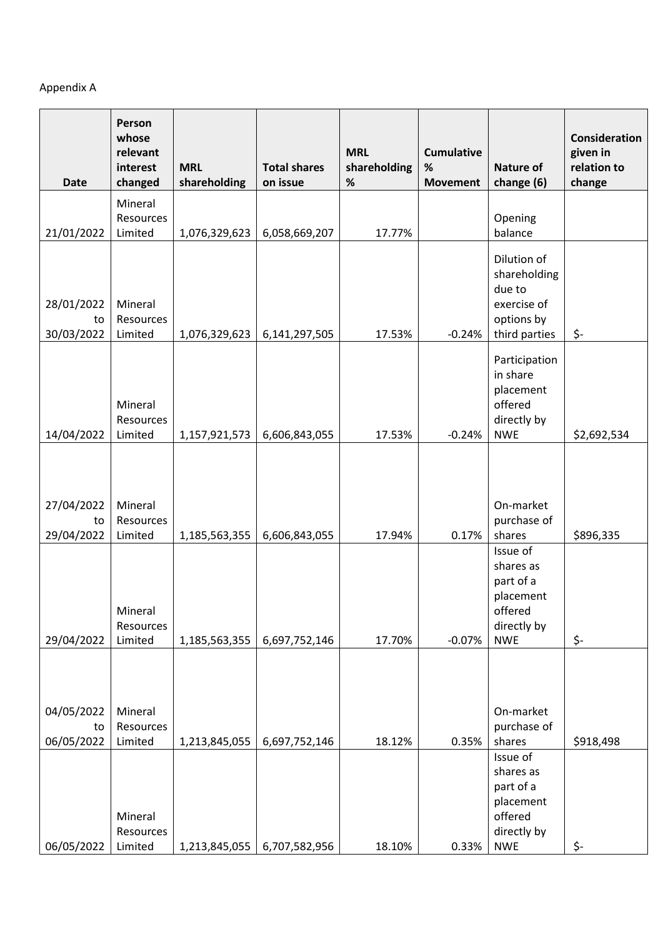# Appendix A

| <b>Date</b>                    | Person<br>whose<br>relevant<br>interest<br>changed | <b>MRL</b><br>shareholding     | <b>Total shares</b><br>on issue | <b>MRL</b><br>shareholding<br>$\%$ | <b>Cumulative</b><br>$\%$<br><b>Movement</b> | <b>Nature of</b><br>change (6)                                                                    | Consideration<br>given in<br>relation to<br>change |
|--------------------------------|----------------------------------------------------|--------------------------------|---------------------------------|------------------------------------|----------------------------------------------|---------------------------------------------------------------------------------------------------|----------------------------------------------------|
| 21/01/2022                     | Mineral<br>Resources<br>Limited                    | 1,076,329,623                  | 6,058,669,207                   | 17.77%                             |                                              | Opening<br>balance                                                                                |                                                    |
| 28/01/2022<br>to<br>30/03/2022 | Mineral<br>Resources<br>Limited                    | 1,076,329,623                  | 6,141,297,505                   | 17.53%                             | $-0.24%$                                     | Dilution of<br>shareholding<br>due to<br>exercise of<br>options by<br>third parties               | \$-                                                |
| 14/04/2022                     | Mineral<br>Resources<br>Limited                    | 1,157,921,573                  | 6,606,843,055                   | 17.53%                             | $-0.24%$                                     | Participation<br>in share<br>placement<br>offered<br>directly by<br><b>NWE</b>                    | \$2,692,534                                        |
| 27/04/2022<br>to               | Mineral<br>Resources                               |                                |                                 |                                    |                                              | On-market<br>purchase of                                                                          |                                                    |
| 29/04/2022<br>29/04/2022       | Limited<br>Mineral<br>Resources<br>Limited         | 1,185,563,355<br>1,185,563,355 | 6,606,843,055<br>6,697,752,146  | 17.94%<br>17.70%                   | 0.17%<br>$-0.07%$                            | shares<br>Issue of<br>shares as<br>part of a<br>placement<br>offered<br>directly by<br><b>NWE</b> | \$896,335<br>\$-                                   |
| 04/05/2022<br>to<br>06/05/2022 | Mineral<br>Resources<br>Limited                    | 1,213,845,055                  | 6,697,752,146                   | 18.12%                             | 0.35%                                        | On-market<br>purchase of<br>shares                                                                | \$918,498                                          |
| 06/05/2022                     | Mineral<br>Resources<br>Limited                    | 1,213,845,055                  | 6,707,582,956                   | 18.10%                             | 0.33%                                        | Issue of<br>shares as<br>part of a<br>placement<br>offered<br>directly by<br><b>NWE</b>           | \$-                                                |